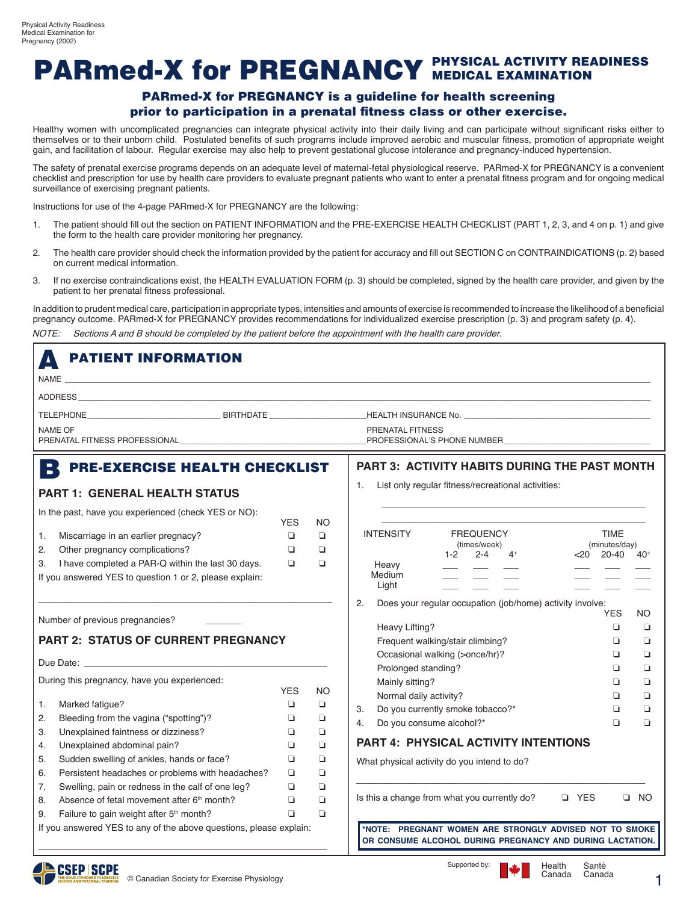## PARmed-X for PREGNANCY PHYSICAL ACTIVITY READINESS

#### PARmed-X for PREGNANCY is a guideline for health screening prior to participation in a prenatal fitness class or other exercise.

Healthy women with uncomplicated pregnancies can integrate physical activity into their daily living and can participate without significant risks either to themselves or to their unborn child. Postulated benefits of such programs include improved aerobic and muscular fitness, promotion of appropriate weight gain, and facilitation of labour. Regular exercise may also help to prevent gestational glucose intolerance and pregnancy-induced hypertension.

The safety of prenatal exercise programs depends on an adequate level of maternal-fetal physiological reserve. PARmed-X for PREGNANCY is a convenient checklist and prescription for use by health care providers to evaluate pregnant patients who want to enter a prenatal fitness program and for ongoing medical surveillance of exercising pregnant patients.

Instructions for use of the 4-page PARmed-X for PREGNANCY are the following:

- 1. The patient should fill out the section on PATIENT INFORMATION and the PRE-EXERCISE HEALTH CHECKLIST (PART 1, 2, 3, and 4 on p. 1) and give the form to the health care provider monitoring her pregnancy.
- 2. The health care provider should check the information provided by the patient for accuracy and fill out SECTION C on CONTRAINDICATIONS (p. 2) based on current medical information.
- 3. If no exercise contraindications exist, the HEALTH EVALUATION FORM (p. 3) should be completed, signed by the health care provider, and given by the patient to her prenatal fitness professional.

In addition to prudent medical care, participation in appropriate types, intensities and amounts of exercise is recommended to increase the likelihood of a beneficial pregnancy outcome. PARmed-X for PREGNANCY provides recommendations for individualized exercise prescription (p. 3) and program safety (p. 4).

NOTE: Sections A and B should be completed by the patient before the appointment with the health care provider.

| <b>PATIENT INFORMATION</b><br>$\Delta$                                                                                                                                                                                                    |            |                                                          |                                                                                                                      |           |  |  |  |  |  |
|-------------------------------------------------------------------------------------------------------------------------------------------------------------------------------------------------------------------------------------------|------------|----------------------------------------------------------|----------------------------------------------------------------------------------------------------------------------|-----------|--|--|--|--|--|
| NAME<br>and the control of the control of the control of the control of the control of the control of the control of the                                                                                                                  |            |                                                          |                                                                                                                      |           |  |  |  |  |  |
| ADDRESS AND THE STATE OF THE STATE OF THE STATE OF THE STATE OF THE STATE OF THE STATE OF THE STATE OF THE STATE OF THE STATE OF THE STATE OF THE STATE OF THE STATE OF THE STATE OF THE STATE OF THE STATE OF THE STATE OF TH            |            |                                                          |                                                                                                                      |           |  |  |  |  |  |
|                                                                                                                                                                                                                                           |            |                                                          |                                                                                                                      |           |  |  |  |  |  |
| NAME OF<br>PRENATAL FITNESS PROFESSIONAL UNIVERSITY AND THE RESERVE THE RESERVE THAT A RESERVE THE RESERVE THAT A RESERVE THAT A RESERVE THAT A RESERVE THAT A RESERVE THAT A RESERVE THAT A RESERVE THAT A RESERVE THAT A RESERVE THAT A |            | PRENATAL FITNESS<br>PROFESSIONAL'S PHONE NUMBER          |                                                                                                                      |           |  |  |  |  |  |
| <b>PRE-EXERCISE HEALTH CHECKLIST</b><br>B                                                                                                                                                                                                 |            |                                                          | <b>PART 3: ACTIVITY HABITS DURING THE PAST MONTH</b>                                                                 |           |  |  |  |  |  |
| <b>PART 1: GENERAL HEALTH STATUS</b>                                                                                                                                                                                                      |            | List only regular fitness/recreational activities:<br>1. |                                                                                                                      |           |  |  |  |  |  |
| In the past, have you experienced (check YES or NO):                                                                                                                                                                                      | <b>YES</b> | NO.                                                      |                                                                                                                      |           |  |  |  |  |  |
| Miscarriage in an earlier pregnacy?<br>1.                                                                                                                                                                                                 | o          | Q                                                        | <b>FREQUENCY</b><br><b>INTENSITY</b><br><b>TIME</b><br>(minutes/day)<br>(times/week)                                 |           |  |  |  |  |  |
| 2.<br>Other pregnancy complications?                                                                                                                                                                                                      | o          | Q                                                        | $2 - 4$<br>$<$ 20 - 20 - 40<br>$1 - 2$<br>$4^+$                                                                      | $40+$     |  |  |  |  |  |
| I have completed a PAR-Q within the last 30 days.<br>3.                                                                                                                                                                                   | $\Box$     | Q                                                        | Heavy                                                                                                                |           |  |  |  |  |  |
| If you answered YES to question 1 or 2, please explain:                                                                                                                                                                                   |            |                                                          | Medium<br>Light                                                                                                      |           |  |  |  |  |  |
|                                                                                                                                                                                                                                           |            |                                                          | 2.<br>Does your regular occupation (job/home) activity involve:                                                      |           |  |  |  |  |  |
| Number of previous pregnancies?                                                                                                                                                                                                           |            |                                                          | <b>YES</b>                                                                                                           | <b>NO</b> |  |  |  |  |  |
|                                                                                                                                                                                                                                           |            |                                                          | Heavy Lifting?<br>$\Box$                                                                                             | ◘         |  |  |  |  |  |
| <b>PART 2: STATUS OF CURRENT PREGNANCY</b>                                                                                                                                                                                                |            | Frequent walking/stair climbing?<br>▫                    | ❏                                                                                                                    |           |  |  |  |  |  |
| Due Date: Due Date:                                                                                                                                                                                                                       |            |                                                          | Occasional walking (>once/hr)?<br>▫                                                                                  | ❏         |  |  |  |  |  |
| During this pregnancy, have you experienced:                                                                                                                                                                                              |            |                                                          | Prolonged standing?<br>▫<br>Mainly sitting?<br>▫                                                                     | ❏<br>❏    |  |  |  |  |  |
|                                                                                                                                                                                                                                           | <b>YES</b> | NO                                                       | Normal daily activity?<br>$\Box$                                                                                     | $\Box$    |  |  |  |  |  |
| Marked fatigue?<br>1.                                                                                                                                                                                                                     | ❏          | Q                                                        | Do you currently smoke tobacco?*<br>$\Box$<br>3.                                                                     | $\Box$    |  |  |  |  |  |
| Bleeding from the vagina ("spotting")?<br>2.                                                                                                                                                                                              | ❏          | $\Box$                                                   | Do you consume alcohol?*<br>$\Box$<br>4.                                                                             | $\Box$    |  |  |  |  |  |
| 3.<br>Unexplained faintness or dizziness?                                                                                                                                                                                                 | ❏          | $\Box$                                                   |                                                                                                                      |           |  |  |  |  |  |
| Unexplained abdominal pain?<br>4.                                                                                                                                                                                                         | o          | $\Box$                                                   | <b>PART 4: PHYSICAL ACTIVITY INTENTIONS</b>                                                                          |           |  |  |  |  |  |
| Sudden swelling of ankles, hands or face?<br>5.                                                                                                                                                                                           | Q          | Q                                                        | What physical activity do you intend to do?                                                                          |           |  |  |  |  |  |
| Persistent headaches or problems with headaches?<br>6.                                                                                                                                                                                    | o          | Q                                                        |                                                                                                                      |           |  |  |  |  |  |
| Swelling, pain or redness in the calf of one leg?<br>7.                                                                                                                                                                                   | Q          | Q                                                        |                                                                                                                      |           |  |  |  |  |  |
| Absence of fetal movement after 6 <sup>th</sup> month?<br>8.                                                                                                                                                                              | o          | Q                                                        | Is this a change from what you currently do?<br><b>Q</b> YES<br>$\Box$ NO                                            |           |  |  |  |  |  |
| Failure to gain weight after 5 <sup>th</sup> month?<br>9.                                                                                                                                                                                 | Q          | $\Box$                                                   |                                                                                                                      |           |  |  |  |  |  |
| If you answered YES to any of the above questions, please explain:                                                                                                                                                                        |            |                                                          | *NOTE: PREGNANT WOMEN ARE STRONGLY ADVISED NOT TO SMOKE<br>OR CONSUME ALCOHOL DURING PREGNANCY AND DURING LACTATION. |           |  |  |  |  |  |



\_\_\_\_\_\_\_\_\_\_\_\_\_\_\_\_\_\_\_\_\_\_\_\_\_\_\_\_\_\_\_\_\_\_\_\_\_\_\_\_\_\_\_\_\_\_\_\_\_\_\_\_\_\_\_\_\_

Canada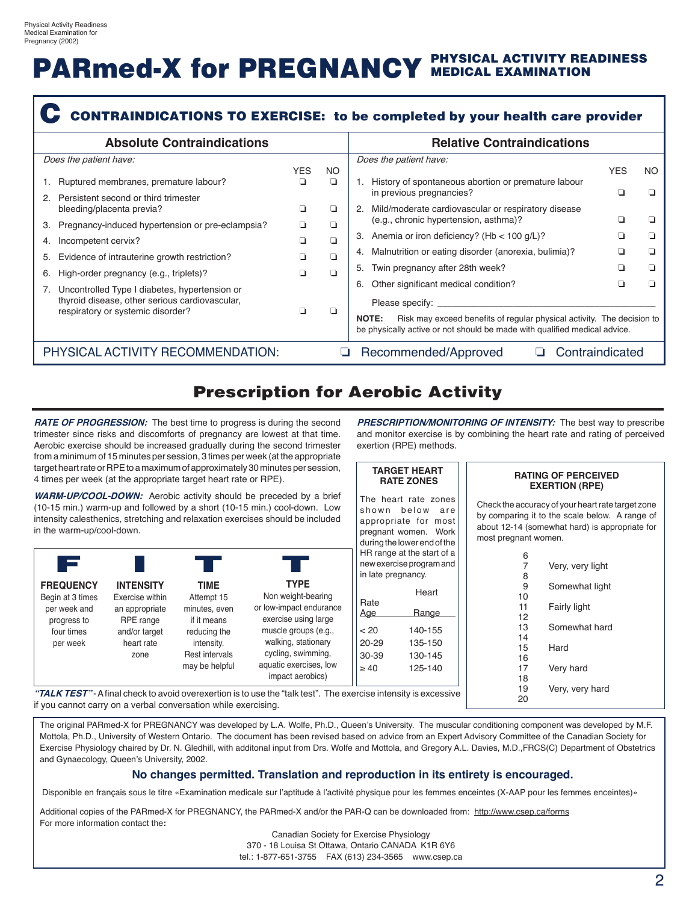# PARmed-X for PREGNANCY PHYSICAL ACTIVITY READINESS

|    | <b>Absolute Contraindications</b>                                                                                                                                                                  |                 |                                                                                                                                                                                                                                                                                                                                                                                       | <b>Relative Contraindications</b>                                                                         |            |     |
|----|----------------------------------------------------------------------------------------------------------------------------------------------------------------------------------------------------|-----------------|---------------------------------------------------------------------------------------------------------------------------------------------------------------------------------------------------------------------------------------------------------------------------------------------------------------------------------------------------------------------------------------|-----------------------------------------------------------------------------------------------------------|------------|-----|
|    | Does the patient have:<br>Ruptured membranes, premature labour?<br>Persistent second or third trimester                                                                                            | <b>YES</b><br>◻ | NO.<br>▫                                                                                                                                                                                                                                                                                                                                                                              | Does the patient have:<br>History of spontaneous abortion or premature labour<br>in previous pregnancies? | <b>YES</b> | NO. |
| 3. | bleeding/placenta previa?<br>Pregnancy-induced hypertension or pre-eclampsia?                                                                                                                      | ◻<br>◻          | ⊔<br>▫                                                                                                                                                                                                                                                                                                                                                                                | Mild/moderate cardiovascular or respiratory disease<br>2.<br>(e.g., chronic hypertension, asthma)?        |            |     |
| 4. | Incompetent cervix?                                                                                                                                                                                | n               | $\Box$                                                                                                                                                                                                                                                                                                                                                                                | Anemia or iron deficiency? ( $Hb < 100$ g/L)?<br>3.                                                       |            | . . |
| 6. | Evidence of intrauterine growth restriction?<br>High-order pregnancy (e.g., triplets)?                                                                                                             | n<br>n          | o<br>n.                                                                                                                                                                                                                                                                                                                                                                               | 4. Malnutrition or eating disorder (anorexia, bulimia)?<br>5. Twin pregnancy after 28th week?             |            |     |
|    | Other significant medical condition?<br>6.<br>Uncontrolled Type I diabetes, hypertension or<br>thyroid disease, other serious cardiovascular,<br>respiratory or systemic disorder?<br><b>NOTE:</b> |                 | Please specify: Network and the set of the set of the set of the set of the set of the set of the set of the set of the set of the set of the set of the set of the set of the set of the set of the set of the set of the set<br>Risk may exceed benefits of regular physical activity. The decision to<br>be physically active or not should be made with qualified medical advice. |                                                                                                           |            |     |
|    | PHYSICAL ACTIVITY RECOMMENDATION:                                                                                                                                                                  |                 | u                                                                                                                                                                                                                                                                                                                                                                                     | Contraindicated<br>Recommended/Approved                                                                   |            |     |

## Prescription for Aerobic Activity

**RATE OF PROGRESSION:** The best time to progress is during the second trimester since risks and discomforts of pregnancy are lowest at that time. Aerobic exercise should be increased gradually during the second trimester from a minimum of 15 minutes per session, 3 times per week (at the appropriate target heart rate or RPE to a maximum of approximately 30 minutes per session, 4 times per week (at the appropriate target heart rate or RPE).

**WARM-UP/COOL-DOWN:** Aerobic activity should be preceded by a brief (10-15 min.) warm-up and followed by a short (10-15 min.) cool-down. Low intensity calesthenics, stretching and relaxation exercises should be included in the warm-up/cool-down.



**PRESCRIPTION/MONITORING OF INTENSITY:** The best way to prescribe and monitor exercise is by combining the heart rate and rating of perceived exertion (RPE) methods.

|                                | <b>TARGET HEART</b><br><b>RATE ZONES</b>                                                   |                      | <b>RATING OF PERCEIVED</b><br><b>EXERTION (RPE)</b>                                                                                                   |
|--------------------------------|--------------------------------------------------------------------------------------------|----------------------|-------------------------------------------------------------------------------------------------------------------------------------------------------|
| shown below<br>appropriate for | The heart rate zones<br>are<br>most<br>pregnant women. Work<br>during the lower end of the | most pregnant women. | Check the accuracy of your heart rate target zone<br>by comparing it to the scale below. A range of<br>about 12-14 (somewhat hard) is appropriate for |
|                                | HR range at the start of a                                                                 | 6                    |                                                                                                                                                       |
|                                | new exercise program and                                                                   | 7                    | Very, very light                                                                                                                                      |
| in late pregnancy.             |                                                                                            | 8                    |                                                                                                                                                       |
|                                | Heart                                                                                      | 9<br>10              | Somewhat light                                                                                                                                        |
| Rate<br>Age                    | Range                                                                                      | 11<br>12             | Fairly light                                                                                                                                          |
| < 20                           | 140-155                                                                                    | 13<br>14             | Somewhat hard                                                                                                                                         |
| $20 - 29$                      | 135-150                                                                                    | 15                   | Hard                                                                                                                                                  |
| 30-39                          | 130-145                                                                                    | 16                   |                                                                                                                                                       |
| $\geq 40$                      | 125-140                                                                                    | 17<br>18             | Very hard                                                                                                                                             |
|                                | cise intensity is excessive                                                                | 19<br>20             | Very, very hard                                                                                                                                       |

"TALK TEST" - A final check to avoid overexertion is to use the "talk test". The exercis if you cannot carry on a verbal conversation while exercising.

The original PARmed-X for PREGNANCY was developed by L.A. Wolfe, Ph.D., Queen's University. The muscular conditioning component was developed by M.F. Mottola, Ph.D., University of Western Ontario. The document has been revised based on advice from an Expert Advisory Committee of the Canadian Society for Exercise Physiology chaired by Dr. N. Gledhill, with additonal input from Drs. Wolfe and Mottola, and Gregory A.L. Davies, M.D.,FRCS(C) Department of Obstetrics and Gynaecology, Queen's University, 2002.

#### **No changes permitted. Translation and reproduction in its entirety is encouraged.**

Disponible en français sous le titre «Examination medicale sur l'aptitude à l'activité physique pour les femmes enceintes (X-AAP pour les femmes enceintes)»

Additional copies of the PARmed-X for PREGNANCY, the PARmed-X and/or the PAR-Q can be downloaded from: http://www.csep.ca/forms For more information contact the**:**

Canadian Society for Exercise Physiology

370 - 18 Louisa St Ottawa, Ontario CANADA K1R 6Y6 tel.: 1-877-651-3755 FAX (613) 234-3565 www.csep.ca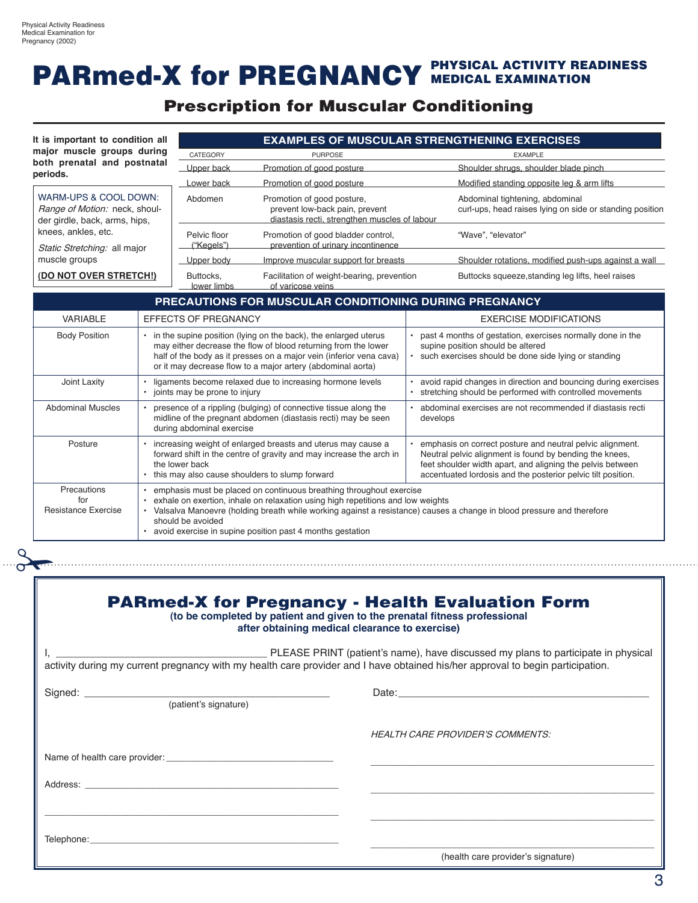# PARmed-X for PREGNANCY PHYSICAL ACTIVITY READINESS

## Prescription for Muscular Conditioning

| It is important to condition all<br>major muscle groups during<br>both prenatal and postnatal                                                                                                                                  |                                                                                                                                                                                                                                                                           |                                                                                            | <b>EXAMPLES OF MUSCULAR STRENGTHENING EXERCISES</b>                                                                                                                                                                   |                                                                                                                                                                                                                                                    |  |  |  |  |
|--------------------------------------------------------------------------------------------------------------------------------------------------------------------------------------------------------------------------------|---------------------------------------------------------------------------------------------------------------------------------------------------------------------------------------------------------------------------------------------------------------------------|--------------------------------------------------------------------------------------------|-----------------------------------------------------------------------------------------------------------------------------------------------------------------------------------------------------------------------|----------------------------------------------------------------------------------------------------------------------------------------------------------------------------------------------------------------------------------------------------|--|--|--|--|
|                                                                                                                                                                                                                                |                                                                                                                                                                                                                                                                           | CATEGORY                                                                                   | <b>PURPOSE</b>                                                                                                                                                                                                        | <b>EXAMPLE</b>                                                                                                                                                                                                                                     |  |  |  |  |
| periods.                                                                                                                                                                                                                       |                                                                                                                                                                                                                                                                           | Upper back                                                                                 | Promotion of good posture                                                                                                                                                                                             | Shoulder shrugs, shoulder blade pinch                                                                                                                                                                                                              |  |  |  |  |
|                                                                                                                                                                                                                                |                                                                                                                                                                                                                                                                           | Lower back                                                                                 | Promotion of good posture                                                                                                                                                                                             | Modified standing opposite leg & arm lifts                                                                                                                                                                                                         |  |  |  |  |
| WARM-UPS & COOL DOWN:<br>Range of Motion: neck, shoul-<br>der girdle, back, arms, hips,                                                                                                                                        |                                                                                                                                                                                                                                                                           | Abdomen                                                                                    | Promotion of good posture,<br>prevent low-back pain, prevent<br>diastasis recti, strengthen muscles of labour                                                                                                         | Abdominal tightening, abdominal<br>curl-ups, head raises lying on side or standing position                                                                                                                                                        |  |  |  |  |
| knees, ankles, etc.<br>Static Stretching: all major                                                                                                                                                                            |                                                                                                                                                                                                                                                                           | Pelvic floor<br>("Kegels")                                                                 | Promotion of good bladder control,<br>prevention of urinary incontinence                                                                                                                                              | "Wave", "elevator"                                                                                                                                                                                                                                 |  |  |  |  |
| muscle groups                                                                                                                                                                                                                  |                                                                                                                                                                                                                                                                           | Upper body                                                                                 | Improve muscular support for breasts                                                                                                                                                                                  | Shoulder rotations, modified push-ups against a wall                                                                                                                                                                                               |  |  |  |  |
| (DO NOT OVER STRETCH!)                                                                                                                                                                                                         |                                                                                                                                                                                                                                                                           | Buttocks,<br>lower limbs                                                                   | Facilitation of weight-bearing, prevention<br>of varicose veins                                                                                                                                                       | Buttocks squeeze, standing leg lifts, heel raises                                                                                                                                                                                                  |  |  |  |  |
|                                                                                                                                                                                                                                |                                                                                                                                                                                                                                                                           |                                                                                            | PRECAUTIONS FOR MUSCULAR CONDITIONING DURING PREGNANCY                                                                                                                                                                |                                                                                                                                                                                                                                                    |  |  |  |  |
| <b>VARIABLE</b>                                                                                                                                                                                                                |                                                                                                                                                                                                                                                                           | <b>EFFECTS OF PREGNANCY</b>                                                                |                                                                                                                                                                                                                       | <b>EXERCISE MODIFICATIONS</b>                                                                                                                                                                                                                      |  |  |  |  |
| <b>Body Position</b>                                                                                                                                                                                                           | • in the supine position (lying on the back), the enlarged uterus<br>may either decrease the flow of blood returning from the lower<br>half of the body as it presses on a major vein (inferior vena cava)<br>or it may decrease flow to a major artery (abdominal aorta) |                                                                                            |                                                                                                                                                                                                                       | past 4 months of gestation, exercises normally done in the<br>supine position should be altered<br>such exercises should be done side lying or standing<br>$\bullet$                                                                               |  |  |  |  |
| Joint Laxity                                                                                                                                                                                                                   |                                                                                                                                                                                                                                                                           | ligaments become relaxed due to increasing hormone levels<br>joints may be prone to injury |                                                                                                                                                                                                                       | avoid rapid changes in direction and bouncing during exercises<br>stretching should be performed with controlled movements                                                                                                                         |  |  |  |  |
| <b>Abdominal Muscles</b>                                                                                                                                                                                                       |                                                                                                                                                                                                                                                                           | during abdominal exercise                                                                  | presence of a rippling (bulging) of connective tissue along the<br>midline of the pregnant abdomen (diastasis recti) may be seen                                                                                      | abdominal exercises are not recommended if diastasis recti<br>develops                                                                                                                                                                             |  |  |  |  |
| Posture                                                                                                                                                                                                                        |                                                                                                                                                                                                                                                                           | the lower back                                                                             | increasing weight of enlarged breasts and uterus may cause a<br>forward shift in the centre of gravity and may increase the arch in<br>this may also cause shoulders to slump forward                                 | emphasis on correct posture and neutral pelvic alignment.<br>Neutral pelvic alignment is found by bending the knees,<br>feet shoulder width apart, and aligning the pelvis between<br>accentuated lordosis and the posterior pelvic tilt position. |  |  |  |  |
| Precautions<br>for<br><b>Resistance Exercise</b>                                                                                                                                                                               |                                                                                                                                                                                                                                                                           | should be avoided                                                                          | emphasis must be placed on continuous breathing throughout exercise<br>exhale on exertion, inhale on relaxation using high repetitions and low weights<br>• avoid exercise in supine position past 4 months gestation | · Valsalva Manoevre (holding breath while working against a resistance) causes a change in blood pressure and therefore                                                                                                                            |  |  |  |  |
|                                                                                                                                                                                                                                |                                                                                                                                                                                                                                                                           |                                                                                            | (to be completed by patient and given to the prenatal fitness professional<br>after obtaining medical clearance to exercise)                                                                                          | <b>PARmed-X for Pregnancy - Health Evaluation Form</b>                                                                                                                                                                                             |  |  |  |  |
|                                                                                                                                                                                                                                |                                                                                                                                                                                                                                                                           |                                                                                            |                                                                                                                                                                                                                       | <b>HEALTH CARE PROVIDER'S COMMENTS:</b>                                                                                                                                                                                                            |  |  |  |  |
|                                                                                                                                                                                                                                |                                                                                                                                                                                                                                                                           |                                                                                            |                                                                                                                                                                                                                       |                                                                                                                                                                                                                                                    |  |  |  |  |
| Address: Analysis and the contract of the contract of the contract of the contract of the contract of the contract of the contract of the contract of the contract of the contract of the contract of the contract of the cont |                                                                                                                                                                                                                                                                           |                                                                                            |                                                                                                                                                                                                                       |                                                                                                                                                                                                                                                    |  |  |  |  |
|                                                                                                                                                                                                                                |                                                                                                                                                                                                                                                                           |                                                                                            |                                                                                                                                                                                                                       |                                                                                                                                                                                                                                                    |  |  |  |  |
|                                                                                                                                                                                                                                |                                                                                                                                                                                                                                                                           |                                                                                            |                                                                                                                                                                                                                       |                                                                                                                                                                                                                                                    |  |  |  |  |